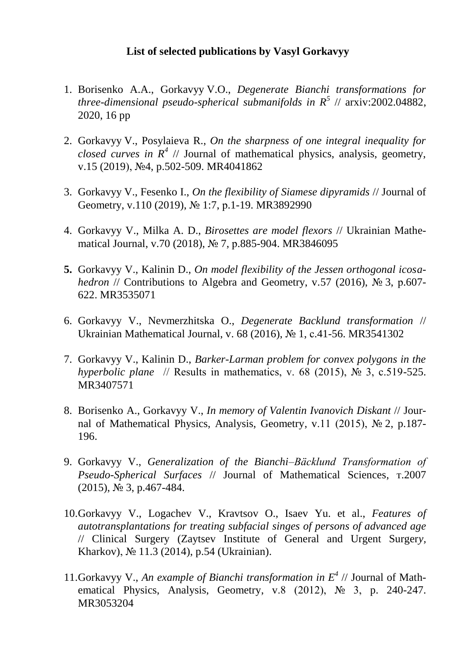## **List of selected publications by Vasyl Gorkavyy**

- 1. Borisenko A.A., Gorkavyy V.O., *Degenerate Bianchi transformations for three-dimensional pseudo-spherical submanifolds in R<sup>5</sup>* // arxiv:2002.04882, 2020, 16 pp
- 2. Gorkavyy V., Posylaieva R., *On the sharpness of one integral inequality for closed curves in*  $R^4$  // Journal of mathematical physics, analysis, geometry, v.15 (2019), №4, p.502-509. MR4041862
- 3. Gorkavyy V., Fesenko I., *On the flexibility of Siamese dipyramids* // Journal of Geometry, v.110 (2019), № 1:7, р.1-19. MR3892990
- 4. Gorkavyy V., Milka A. D., *Birosettes are model flexors* // Ukrainian Mathematical Journal, v.70 (2018), № 7, р.885-904. MR3846095
- **5.** Gorkavyy V., Kalinin D., *On model flexibility of the Jessen orthogonal icosahedron* // Contributions to Algebra and Geometry, v.57 (2016), № 3, p.607-622. MR3535071
- 6. Gorkavyy V., Nevmerzhitska O., *Degenerate Backlund transformation* // Ukrainian Mathematical Journal, v. 68 (2016), № 1, с.41-56. MR3541302
- 7. Gorkavyy V., Kalinin D., *Barker-Larman problem for convex polygons in the hyperbolic plane* // Results in mathematics, v. 68 (2015), № 3, c.519-525. MR3407571
- 8. Borisenko A., Gorkavyy V., *In memory of Valentin Ivanovich Diskant* // Journal of Mathematical Physics, Analysis, Geometry, v.11 (2015), № 2, p.187- 196.
- 9. Gorkavyy V., *Generalization of the Bianchi–Bäcklund Transformation of Pseudo-Spherical Surfaces* // Journal of Mathematical Sciences, т.2007 (2015), № 3, p.467-484.
- 10.Gorkavyy V., Logachev V., Kravtsov O., Isaev Yu. et al., *Features of autotransplantations for treating subfacial singes of persons of advanced age*  // Clinical Surgery (Zaytsev Institute of General and Urgent Surger*y,*  Kharkov), № 11.3 (2014), p.54 (Ukrainian).
- 11.Gorkavyy V., *An example of Bianchi transformation in E 4* // Journal of Mathematical Physics, Analysis, Geometry, v.8 (2012), № 3, p. 240-247. MR3053204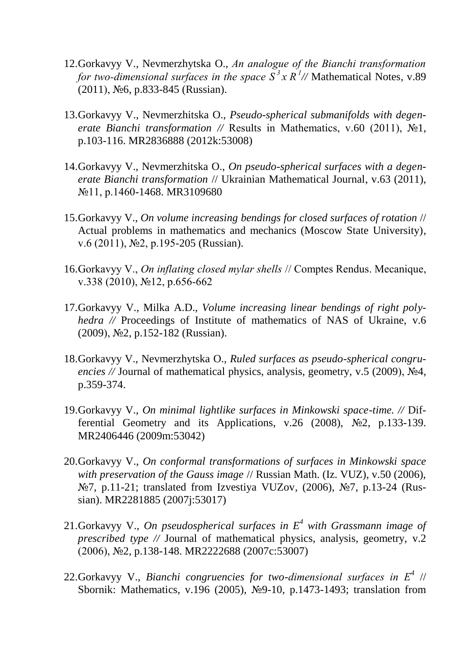- 12.Gorkavyy V., Nevmerzhytska O., *Аn analogue of the Bianchi transformation for two-dimensional surfaces in the space*  $S^3 x R^1$  // Mathematical Notes, v.89 (2011), №6, p.833-845 (Russian).
- 13.Gorkavyy V., Nevmerzhitska O., *Pseudo-spherical submanifolds with degenerate Bianchi transformation //* Results in Mathematics, v.60 (2011), №1, p.103-116. MR2836888 (2012k:53008)
- 14.Gorkavyy V., Nevmerzhitska O., *On pseudo-spherical surfaces with a degenerate Bianchi transformation* // Ukrainian Mathematical Journal, v.63 (2011), №11, p.1460-1468. MR3109680
- 15.Gorkavyy V., *On volume increasing bendings for closed surfaces of rotation* // Actual problems in mathematics and mechanics (Moscow State University), v.6 (2011), №2, p.195-205 (Russian).
- 16.Gorkavyy V., *On inflating closed mylar shells* // Comptes Rendus. Mecanique, v.338 (2010), №12, p.656-662
- 17.Gorkavyy V., Milka A.D., *Volume increasing linear bendings of right polyhedra* // Proceedings of Institute of mathematics of NAS of Ukraine, v.6 (2009), №2, p.152-182 (Russian).
- 18.Gorkavyy V., Nevmerzhytska O., *Ruled surfaces as pseudo-spherical congruencies //* Journal of mathematical physics, analysis, geometry, v.5 (2009), №4, p.359-374.
- 19.Gorkavyy V., *On minimal lightlike surfaces in Minkowski space-time. //* Differential Geometry and its Applications, v.26 (2008), №2, p.133-139. MR2406446 (2009m:53042)
- 20.Gorkavyy V., *On conformal transformations of surfaces in Minkowski space with preservation of the Gauss image* // Russian Math. (Iz. VUZ), v.50 (2006), №7, p.11-21; translated from Izvestiya VUZov, (2006), №7, p.13-24 (Russian). MR2281885 (2007j:53017)
- 21.Gorkavyy V., *On pseudospherical surfaces in E<sup>4</sup> with Grassmann image of prescribed type //* Journal of mathematical physics, analysis, geometry, v.2 (2006), №2, p.138-148. MR2222688 (2007c:53007)
- 22.Gorkavyy V., *Bianchi congruencies for two-dimensional surfaces in Е<sup>4</sup>* // Sbornik: Mathematics, v.196 (2005), №9-10, p.1473-1493; translation from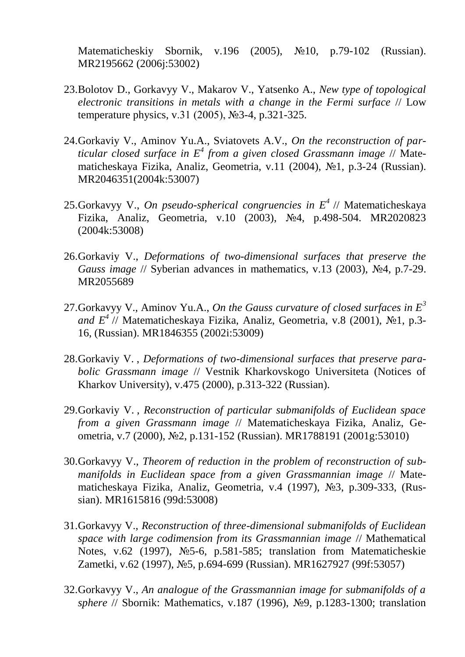Matematicheskiy Sbornik, v.196 (2005), №10, p.79-102 (Russian). MR2195662 (2006j:53002)

- 23.Bolotov D., Gorkavyy V., Makarov V., Yatsenko A., *New type of topological electronic transitions in metals with a change in the Fermi surface* // Low temperature physics, v.31 (2005), №3-4, p.321-325.
- 24.Gorkaviy V., Aminov Yu.A., Sviatovets A.V., *On the reconstruction of particular closed surface in E<sup>4</sup> from a given closed Grassmann image* // Matematicheskaya Fizika, Analiz, Geometria, v.11 (2004), №1, p.3-24 (Russian). MR2046351(2004k:53007)
- 25.Gorkavyy V., *On pseudo-spherical congruencies in E<sup>4</sup>* // Matematicheskaya Fizika, Analiz, Geometria, v.10 (2003), №4, p.498-504. MR2020823 (2004k:53008)
- 26.Gorkaviy V., *Deformations of two-dimensional surfaces that preserve the Gauss image* // Syberian advances in mathematics, v.13 (2003), №4, p.7-29. MR2055689
- 27.Gorkavyy V., Aminov Yu.A., *On the Gauss curvature of closed surfaces in E<sup>3</sup> and E<sup>4</sup>* // Matematicheskaya Fizika, Analiz, Geometria, v.8 (2001), №1, p.3- 16, (Russian). MR1846355 (2002i:53009)
- 28.Gorkaviy V. , *Deformations of two-dimensional surfaces that preserve parabolic Grassmann image* // Vestnik Kharkovskogo Universiteta (Notices of Kharkov University), v.475 (2000), p.313-322 (Russian).
- 29.Gorkaviy V. , *Reconstruction of particular submanifolds of Euclidean space from a given Grassmann image* // Matematicheskaya Fizika, Analiz, Geometria, v.7 (2000), №2, p.131-152 (Russian). MR1788191 (2001g:53010)
- 30.Gorkavyy V., *Theorem of reduction in the problem of reconstruction of submanifolds in Euclidean space from a given Grassmannian image* // Matematicheskaya Fizika, Analiz, Geometria, v.4 (1997), №3, p.309-333, (Russian). MR1615816 (99d:53008)
- 31.Gorkavyy V., *Reconstruction of three-dimensional submanifolds of Euclidean space with large codimension from its Grassmannian image* // Mathematical Notes, v.62 (1997), №5-6, p.581-585; translation from Matematicheskie Zametki, v.62 (1997), №5, p.694-699 (Russian). MR1627927 (99f:53057)
- 32.Gorkavyy V., *An analogue of the Grassmannian image for submanifolds of a sphere* // Sbornik: Mathematics, v.187 (1996), №9, p.1283-1300; translation